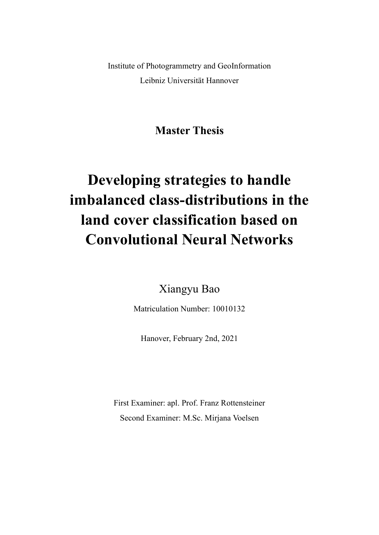Institute of Photogrammetry and GeoInformation Leibniz Universität Hannover

**Master Thesis**

## **Developing strategies to handle imbalanced class-distributions in the land cover classification based on Convolutional Neural Networks**

Xiangyu Bao

Matriculation Number: 10010132

Hanover, February 2nd, 2021

First Examiner: apl. Prof. Franz Rottensteiner Second Examiner: M.Sc. Mirjana Voelsen